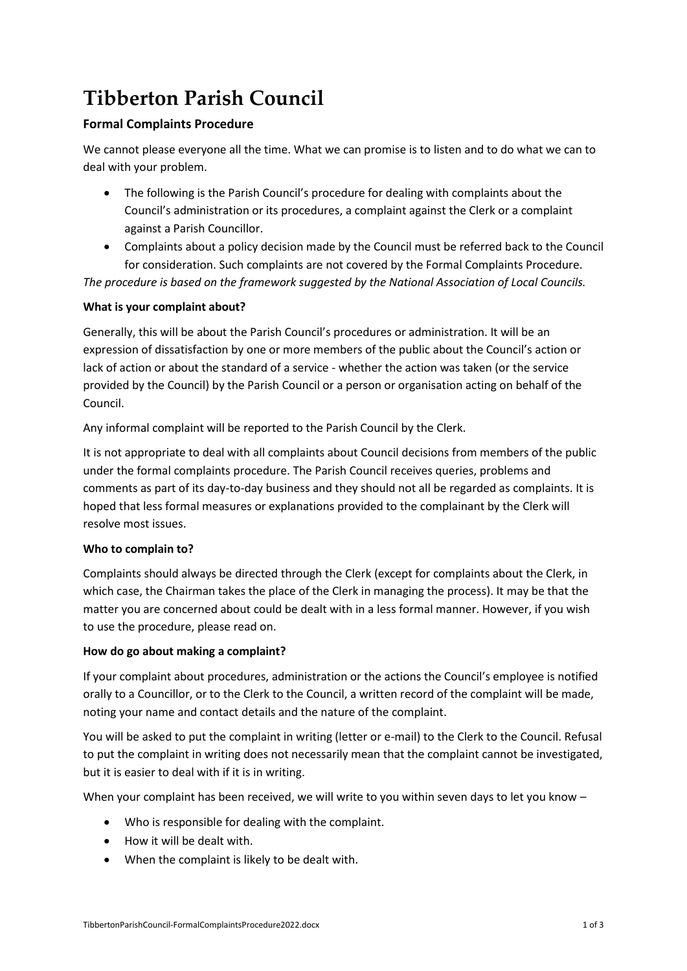# **Tibberton Parish Council**

# **Formal Complaints Procedure**

We cannot please everyone all the time. What we can promise is to listen and to do what we can to deal with your problem.

- The following is the Parish Council's procedure for dealing with complaints about the Council's administration or its procedures, a complaint against the Clerk or a complaint against a Parish Councillor.
- Complaints about a policy decision made by the Council must be referred back to the Council for consideration. Such complaints are not covered by the Formal Complaints Procedure.

*The procedure is based on the framework suggested by the National Association of Local Councils.*

## **What is your complaint about?**

Generally, this will be about the Parish Council's procedures or administration. It will be an expression of dissatisfaction by one or more members of the public about the Council's action or lack of action or about the standard of a service - whether the action was taken (or the service provided by the Council) by the Parish Council or a person or organisation acting on behalf of the Council.

Any informal complaint will be reported to the Parish Council by the Clerk.

It is not appropriate to deal with all complaints about Council decisions from members of the public under the formal complaints procedure. The Parish Council receives queries, problems and comments as part of its day-to-day business and they should not all be regarded as complaints. It is hoped that less formal measures or explanations provided to the complainant by the Clerk will resolve most issues.

#### **Who to complain to?**

Complaints should always be directed through the Clerk (except for complaints about the Clerk, in which case, the Chairman takes the place of the Clerk in managing the process). It may be that the matter you are concerned about could be dealt with in a less formal manner. However, if you wish to use the procedure, please read on.

#### **How do go about making a complaint?**

If your complaint about procedures, administration or the actions the Council's employee is notified orally to a Councillor, or to the Clerk to the Council, a written record of the complaint will be made, noting your name and contact details and the nature of the complaint.

You will be asked to put the complaint in writing (letter or e-mail) to the Clerk to the Council. Refusal to put the complaint in writing does not necessarily mean that the complaint cannot be investigated, but it is easier to deal with if it is in writing.

When your complaint has been received, we will write to you within seven days to let you know -

- Who is responsible for dealing with the complaint.
- How it will be dealt with.
- When the complaint is likely to be dealt with.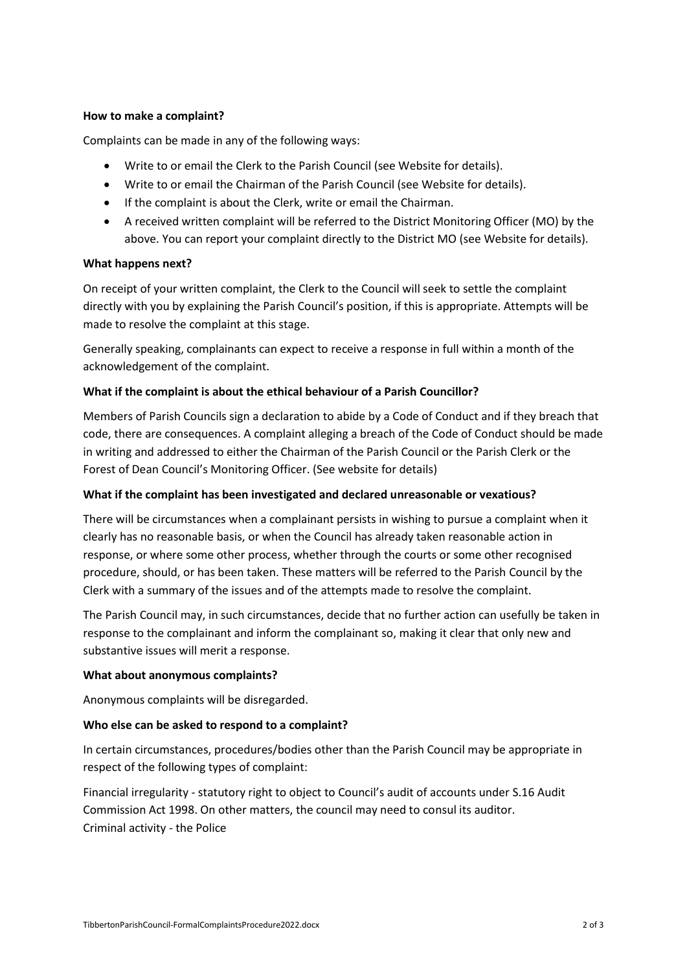#### **How to make a complaint?**

Complaints can be made in any of the following ways:

- Write to or email the Clerk to the Parish Council (see Website for details).
- Write to or email the Chairman of the Parish Council (see Website for details).
- If the complaint is about the Clerk, write or email the Chairman.
- A received written complaint will be referred to the District Monitoring Officer (MO) by the above. You can report your complaint directly to the District MO (see Website for details).

#### **What happens next?**

On receipt of your written complaint, the Clerk to the Council will seek to settle the complaint directly with you by explaining the Parish Council's position, if this is appropriate. Attempts will be made to resolve the complaint at this stage.

Generally speaking, complainants can expect to receive a response in full within a month of the acknowledgement of the complaint.

#### **What if the complaint is about the ethical behaviour of a Parish Councillor?**

Members of Parish Councils sign a declaration to abide by a Code of Conduct and if they breach that code, there are consequences. A complaint alleging a breach of the Code of Conduct should be made in writing and addressed to either the Chairman of the Parish Council or the Parish Clerk or the Forest of Dean Council's Monitoring Officer. (See website for details)

#### **What if the complaint has been investigated and declared unreasonable or vexatious?**

There will be circumstances when a complainant persists in wishing to pursue a complaint when it clearly has no reasonable basis, or when the Council has already taken reasonable action in response, or where some other process, whether through the courts or some other recognised procedure, should, or has been taken. These matters will be referred to the Parish Council by the Clerk with a summary of the issues and of the attempts made to resolve the complaint.

The Parish Council may, in such circumstances, decide that no further action can usefully be taken in response to the complainant and inform the complainant so, making it clear that only new and substantive issues will merit a response.

#### **What about anonymous complaints?**

Anonymous complaints will be disregarded.

#### **Who else can be asked to respond to a complaint?**

In certain circumstances, procedures/bodies other than the Parish Council may be appropriate in respect of the following types of complaint:

Financial irregularity - statutory right to object to Council's audit of accounts under S.16 Audit Commission Act 1998. On other matters, the council may need to consul its auditor. Criminal activity - the Police